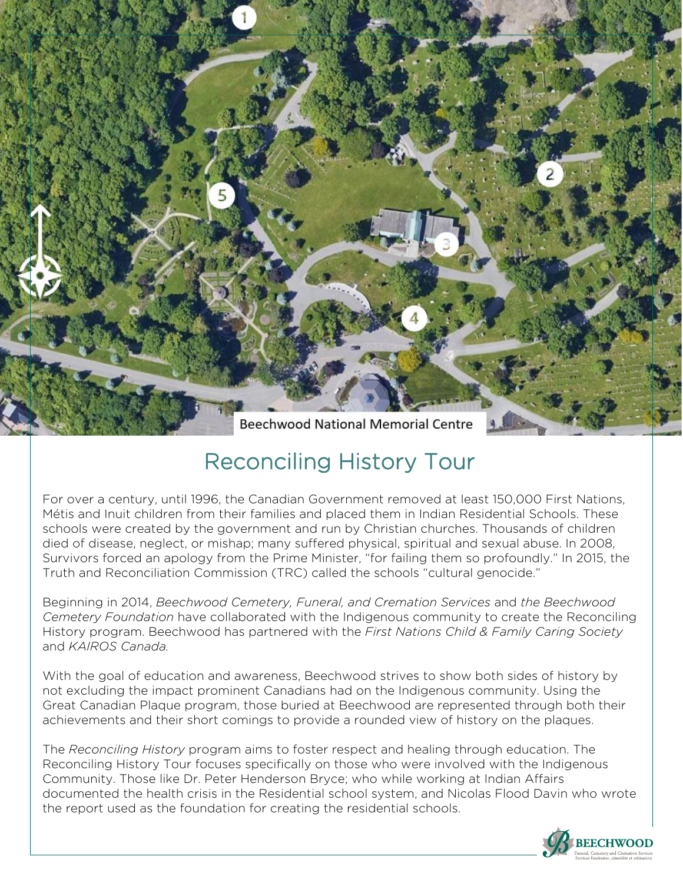**Beechwood National Memorial Centre** 

## Reconciling History Tour

For over a century, until 1996, the Canadian Government removed at least 150,000 First Nations, Métis and Inuit children from their families and placed them in Indian Residential Schools. These schools were created by the government and run by Christian churches. Thousands of children died of disease, neglect, or mishap; many suffered physical, spiritual and sexual abuse. In 2008, Survivors forced an apology from the Prime Minister, "for failing them so profoundly." In 2015, the Truth and Reconciliation Commission (TRC) called the schools "cultural genocide."

Beginning in 2014, *Beechwood Cemetery, Funeral, and Cremation Services* and *the Beechwood Cemetery Foundation* have collaborated with the Indigenous community to create the Reconciling History program. Beechwood has partnered with the *First Nations Child & Family Caring Society*  and *KAIROS Canada.*

With the goal of education and awareness, Beechwood strives to show both sides of history by not excluding the impact prominent Canadians had on the Indigenous community. Using the Great Canadian Plaque program, those buried at Beechwood are represented through both their achievements and their short comings to provide a rounded view of history on the plaques.

The *Reconciling History* program aims to foster respect and healing through education. The Reconciling History Tour focuses specifically on those who were involved with the Indigenous Community. Those like Dr. Peter Henderson Bryce; who while working at Indian Affairs documented the health crisis in the Residential school system, and Nicolas Flood Davin who wrote the report used as the foundation for creating the residential schools.